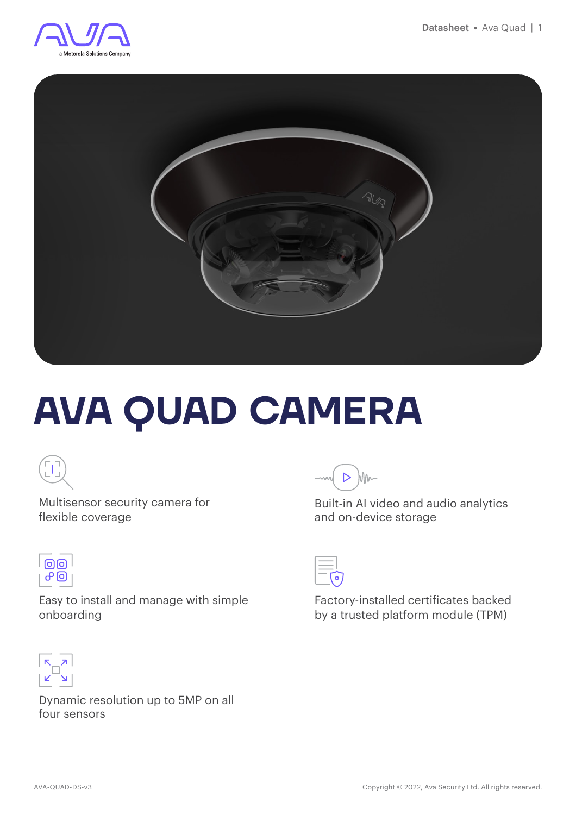



# **AVA QUAD CAMERA**



Multisensor security camera for flexible coverage



Easy to install and manage with simple onboarding



Dynamic resolution up to 5MP on all four sensors



Built-in AI video and audio analytics and on-device storage



Factory-installed certificates backed by a trusted platform module (TPM)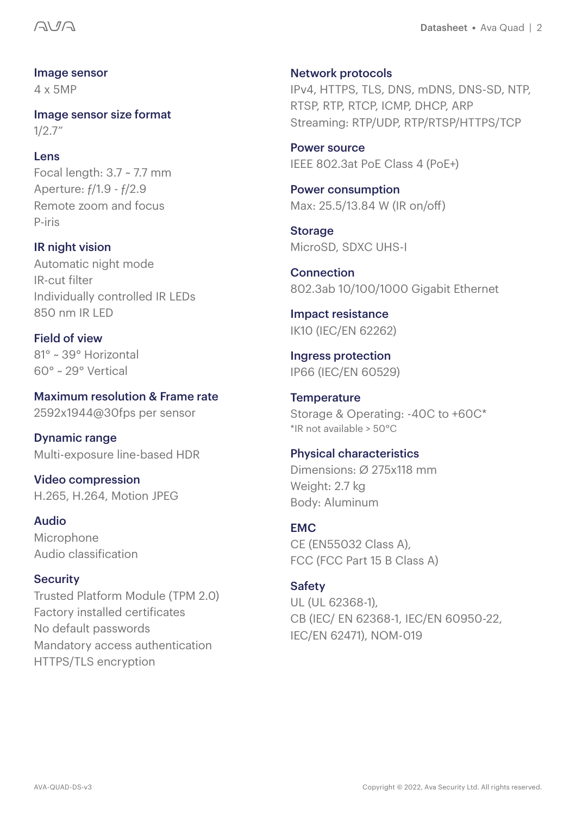Image sensor 4 x 5MP

Image sensor size format 1/2.7"

#### **Lens**

Focal length: 3.7 ~ 7.7 mm Aperture: ƒ/1.9 - ƒ/2.9 Remote zoom and focus P-iris

**IR night vision** Automatic night mode IR-cut filter Individually controlled IR LEDs 850 nm IR LED

Field of view 81° ~ 39° Horizontal 60° ~ 29° Vertical

Maximum resolution & Frame rate 2592x1944@30fps per sensor

Dynamic range Multi-exposure line-based HDR

Video compression H.265, H.264, Motion JPEG

Audio Microphone Audio classification

#### **Security**

Trusted Platform Module (TPM 2.0) Factory installed certificates No default passwords Mandatory access authentication HTTPS/TLS encryption

Network protocols IPv4, HTTPS, TLS, DNS, mDNS, DNS-SD, NTP, RTSP, RTP, RTCP, ICMP, DHCP, ARP Streaming: RTP/UDP, RTP/RTSP/HTTPS/TCP

Power source IEEE 802.3at PoE Class 4 (PoE+)

Power consumption Max: 25.5/13.84 W (IR on/off)

**Storage** MicroSD, SDXC UHS-I

**Connection** 802.3ab 10/100/1000 Gigabit Ethernet

Impact resistance IK10 (IEC/EN 62262)

Ingress protection IP66 (IEC/EN 60529)

**Temperature** Storage & Operating: -40C to +60C\* \*IR not available > 50°C

Physical characteristics Dimensions: Ø 275x118 mm Weight: 2.7 kg Body: Aluminum

EMC CE (EN55032 Class A), FCC (FCC Part 15 B Class A)

#### Safety

UL (UL 62368-1), CB (IEC/ EN 62368-1, IEC/EN 60950-22, IEC/EN 62471), NOM-019